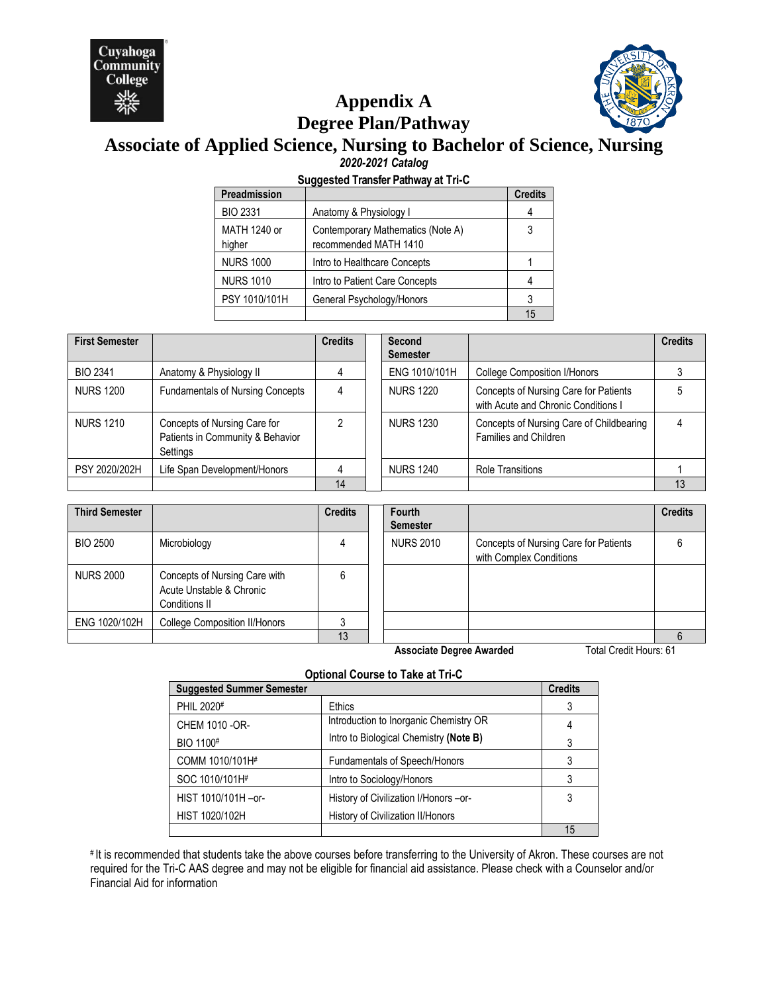



# **Appendix A Degree Plan/Pathway**

# **Associate of Applied Science, Nursing to Bachelor of Science, Nursing** *2020-2021 Catalog*

## **Suggested Transfer Pathway at Tri-C**

| Preadmission           |                                                            | <b>Credits</b> |
|------------------------|------------------------------------------------------------|----------------|
| <b>BIO 2331</b>        | Anatomy & Physiology I                                     | 4              |
| MATH 1240 or<br>higher | Contemporary Mathematics (Note A)<br>recommended MATH 1410 | 3              |
| <b>NURS 1000</b>       | Intro to Healthcare Concepts                               |                |
| <b>NURS 1010</b>       | Intro to Patient Care Concepts                             | 4              |
| PSY 1010/101H          | General Psychology/Honors                                  | 3              |
|                        |                                                            | 15             |

| <b>First Semester</b> |                                                                              | <b>Credits</b> | Second<br><b>Semester</b> |                                                                              | <b>Credits</b> |
|-----------------------|------------------------------------------------------------------------------|----------------|---------------------------|------------------------------------------------------------------------------|----------------|
| <b>BIO 2341</b>       | Anatomy & Physiology II                                                      |                | ENG 1010/101H             | <b>College Composition I/Honors</b>                                          |                |
| <b>NURS 1200</b>      | <b>Fundamentals of Nursing Concepts</b>                                      |                | <b>NURS 1220</b>          | Concepts of Nursing Care for Patients<br>with Acute and Chronic Conditions I |                |
| <b>NURS 1210</b>      | Concepts of Nursing Care for<br>Patients in Community & Behavior<br>Settings |                | <b>NURS 1230</b>          | Concepts of Nursing Care of Childbearing<br>Families and Children            | 4              |
| PSY 2020/202H         | Life Span Development/Honors                                                 |                | <b>NURS 1240</b>          | <b>Role Transitions</b>                                                      |                |
|                       |                                                                              | 14             |                           |                                                                              | 13             |

| <b>Third Semester</b> |                                                                            | <b>Credits</b> | <b>Fourth</b><br><b>Semester</b> |                                                                  | <b>Credits</b> |
|-----------------------|----------------------------------------------------------------------------|----------------|----------------------------------|------------------------------------------------------------------|----------------|
| <b>BIO 2500</b>       | Microbiology                                                               |                | <b>NURS 2010</b>                 | Concepts of Nursing Care for Patients<br>with Complex Conditions |                |
| <b>NURS 2000</b>      | Concepts of Nursing Care with<br>Acute Unstable & Chronic<br>Conditions II | 6              |                                  |                                                                  |                |
| ENG 1020/102H         | <b>College Composition II/Honors</b>                                       |                |                                  |                                                                  |                |
|                       |                                                                            | 13             |                                  |                                                                  | 6              |

**Associate Degree Awarded** Total Credit Hours: 61

### **Optional Course to Take at Tri-C**

| <b>Suggested Summer Semester</b> |                                        | <b>Credits</b> |
|----------------------------------|----------------------------------------|----------------|
| PHIL 2020#                       | <b>Ethics</b>                          | 3              |
| CHEM 1010 - OR-                  | Introduction to Inorganic Chemistry OR | 4              |
| BIO 1100#                        | Intro to Biological Chemistry (Note B) | 3              |
| COMM 1010/101H#                  | Fundamentals of Speech/Honors          | 3              |
| SOC 1010/101H#                   | Intro to Sociology/Honors              | 3              |
| HIST 1010/101H-or-               | History of Civilization I/Honors - or- | 3              |
| HIST 1020/102H                   | History of Civilization II/Honors      |                |
|                                  |                                        | 15             |

# It is recommended that students take the above courses before transferring to the University of Akron. These courses are not required for the Tri-C AAS degree and may not be eligible for financial aid assistance. Please check with a Counselor and/or Financial Aid for information